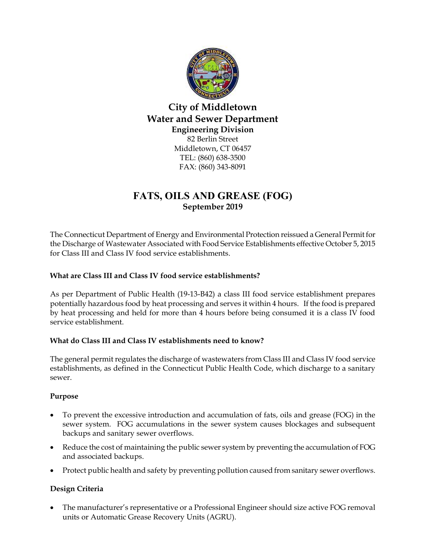

City of Middletown Water and Sewer Department Engineering Division 82 Berlin Street Middletown, CT 06457 TEL: (860) 638-3500 FAX: (860) 343-8091

## FATS, OILS AND GREASE (FOG) September 2019

The Connecticut Department of Energy and Environmental Protection reissued a General Permit for the Discharge of Wastewater Associated with Food Service Establishments effective October 5, 2015 for Class III and Class IV food service establishments.

### What are Class III and Class IV food service establishments?

As per Department of Public Health (19-13-B42) a class III food service establishment prepares potentially hazardous food by heat processing and serves it within 4 hours. If the food is prepared by heat processing and held for more than 4 hours before being consumed it is a class IV food service establishment.

### What do Class III and Class IV establishments need to know?

The general permit regulates the discharge of wastewaters from Class III and Class IV food service establishments, as defined in the Connecticut Public Health Code, which discharge to a sanitary sewer.

### Purpose

- To prevent the excessive introduction and accumulation of fats, oils and grease (FOG) in the sewer system. FOG accumulations in the sewer system causes blockages and subsequent backups and sanitary sewer overflows.
- Reduce the cost of maintaining the public sewer system by preventing the accumulation of FOG and associated backups.
- Protect public health and safety by preventing pollution caused from sanitary sewer overflows.

### Design Criteria

 The manufacturer's representative or a Professional Engineer should size active FOG removal units or Automatic Grease Recovery Units (AGRU).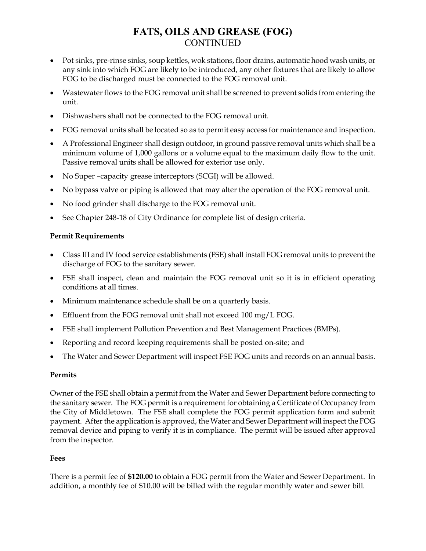# FATS, OILS AND GREASE (FOG) CONTINUED

- Pot sinks, pre-rinse sinks, soup kettles, wok stations, floor drains, automatic hood wash units, or any sink into which FOG are likely to be introduced, any other fixtures that are likely to allow FOG to be discharged must be connected to the FOG removal unit.
- Wastewater flows to the FOG removal unit shall be screened to prevent solids from entering the unit.
- Dishwashers shall not be connected to the FOG removal unit.
- FOG removal units shall be located so as to permit easy access for maintenance and inspection.
- A Professional Engineer shall design outdoor, in ground passive removal units which shall be a minimum volume of 1,000 gallons or a volume equal to the maximum daily flow to the unit. Passive removal units shall be allowed for exterior use only.
- No Super –capacity grease interceptors (SCGI) will be allowed.
- No bypass valve or piping is allowed that may alter the operation of the FOG removal unit.
- No food grinder shall discharge to the FOG removal unit.
- See Chapter 248-18 of City Ordinance for complete list of design criteria.

### Permit Requirements

- Class III and IV food service establishments (FSE) shall install FOG removal units to prevent the discharge of FOG to the sanitary sewer.
- FSE shall inspect, clean and maintain the FOG removal unit so it is in efficient operating conditions at all times.
- Minimum maintenance schedule shall be on a quarterly basis.
- Effluent from the FOG removal unit shall not exceed 100 mg/L FOG.
- FSE shall implement Pollution Prevention and Best Management Practices (BMPs).
- Reporting and record keeping requirements shall be posted on-site; and
- The Water and Sewer Department will inspect FSE FOG units and records on an annual basis.

### Permits

Owner of the FSE shall obtain a permit from the Water and Sewer Department before connecting to the sanitary sewer. The FOG permit is a requirement for obtaining a Certificate of Occupancy from the City of Middletown. The FSE shall complete the FOG permit application form and submit payment. After the application is approved, the Water and Sewer Department will inspect the FOG removal device and piping to verify it is in compliance. The permit will be issued after approval from the inspector.

### Fees

There is a permit fee of \$120.00 to obtain a FOG permit from the Water and Sewer Department. In addition, a monthly fee of \$10.00 will be billed with the regular monthly water and sewer bill.